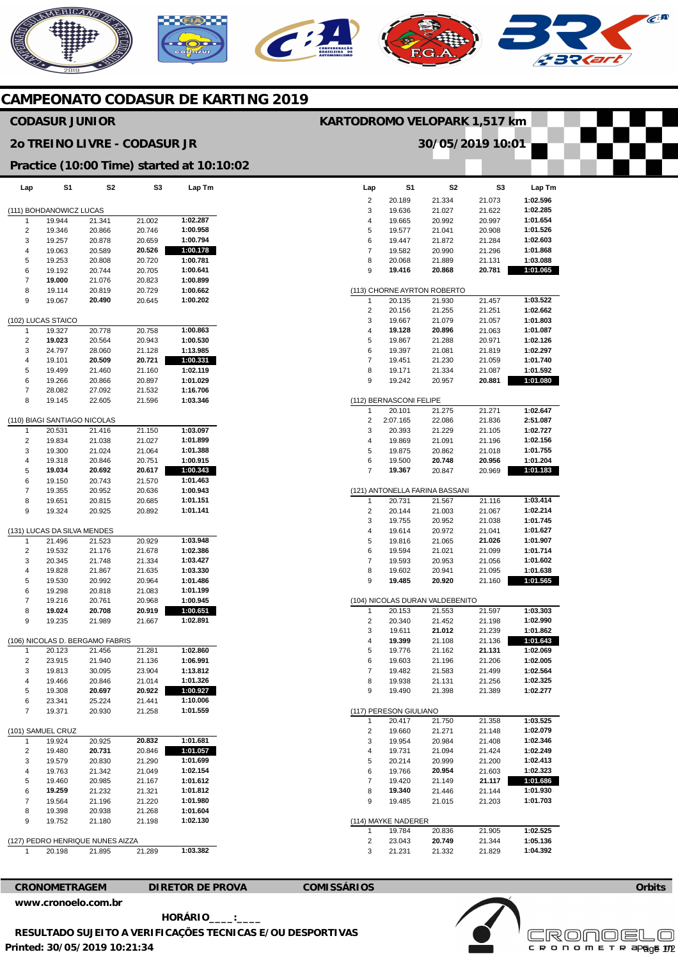# **AERICANO** CA C

## **CAMPEONATO CODASUR DE KARTING 2019**

### **CODASUR JUNIOR**

#### **2o TREINO LIVRE - CODASUR JR**

#### **Practice (10:00 Time) started at 10:10:02**

| Lap               | S1                                | S2                               | S3               | Lap Tm               |  |
|-------------------|-----------------------------------|----------------------------------|------------------|----------------------|--|
|                   |                                   |                                  |                  |                      |  |
| 1                 | (111) BOHDANOWICZ LUCAS<br>19.944 | 21.341                           | 21.002           | 1:02.287             |  |
| 2                 | 19.346                            | 20.866                           | 20.746           | 1:00.958             |  |
| 3                 | 19.257                            | 20.878                           | 20.659           | 1:00.794             |  |
| 4                 | 19.063                            | 20.589                           | 20.526           | 1:00.178             |  |
| 5                 | 19.253                            | 20.808                           | 20.720           | 1:00.781             |  |
| 6<br>7            | 19.192<br>19.000                  | 20.744<br>21.076                 | 20.705<br>20.823 | 1:00.641<br>1:00.899 |  |
| 8                 | 19.114                            | 20.819                           | 20.729           | 1:00.662             |  |
| 9                 | 19.067                            | 20.490                           | 20.645           | 1:00.202             |  |
|                   |                                   |                                  |                  |                      |  |
| 1                 | (102) LUCAS STAICO<br>19.327      | 20.778                           | 20.758           | 1:00.863             |  |
| 2                 | 19.023                            | 20.564                           | 20.943           | 1:00.530             |  |
| 3                 | 24.797                            | 28.060                           | 21.128           | 1:13.985             |  |
| 4                 | 19.101                            | 20.509                           | 20.721           | 1:00.331             |  |
| 5                 | 19.499                            | 21.460                           | 21.160           | 1:02.119             |  |
| 6                 | 19.266                            | 20.866                           | 20.897           | 1:01.029             |  |
| 7                 | 28.082                            | 27.092                           | 21.532           | 1:16.706             |  |
| 8                 | 19.145                            | 22.605                           | 21.596           | 1:03.346             |  |
|                   | (110) BIAGI SANTIAGO NICOLAS      |                                  |                  |                      |  |
| 1                 | 20.531                            | 21.416                           | 21.150           | 1:03.097             |  |
| 2                 | 19.834                            | 21.038                           | 21.027           | 1:01.899             |  |
| 3                 | 19.300                            | 21.024                           | 21.064           | 1:01.388             |  |
| 4                 | 19.318                            | 20.846                           | 20.751           | 1:00.915             |  |
| 5                 | 19.034                            | 20.692                           | 20.617<br>21.570 | 1:00.343<br>1:01.463 |  |
| 6<br>7            | 19.150<br>19.355                  | 20.743<br>20.952                 | 20.636           | 1:00.943             |  |
| 8                 | 19.651                            | 20.815                           | 20.685           | 1:01.151             |  |
| 9                 | 19.324                            | 20.925                           | 20.892           | 1:01.141             |  |
|                   |                                   |                                  |                  |                      |  |
|                   | (131) LUCAS DA SILVA MENDES       |                                  |                  |                      |  |
| 1                 | 21.496                            | 21.523                           | 20.929           | 1:03.948             |  |
| 2<br>3            | 19.532<br>20.345                  | 21.176<br>21.748                 | 21.678<br>21.334 | 1:02.386<br>1:03.427 |  |
| 4                 | 19.828                            | 21.867                           | 21.635           | 1:03.330             |  |
| 5                 | 19.530                            | 20.992                           | 20.964           | 1:01.486             |  |
| 6                 | 19.298                            | 20.818                           | 21.083           | 1:01.199             |  |
| 7                 | 19.216                            | 20.761                           | 20.968           | 1:00.945             |  |
| 8                 | 19.024                            | 20.708                           | 20.919           | 1:00.651             |  |
| 9                 | 19.235                            | 21.989                           | 21.667           | 1:02.891             |  |
|                   |                                   | (106) NICOLAS D. BERGAMO FABRIS  |                  |                      |  |
| 1                 | 20.123                            | 21.456                           | 21.281           | 1:02.860             |  |
| 2                 | 23.915                            | 21.940                           | 21.136           | 1:06.991             |  |
| 3                 | 19.813                            | 30.095                           | 23.904           | 1:13.812             |  |
| 4                 | 19.466                            | 20.846                           | 21.014           | 1:01.326             |  |
| 5                 | 19.308                            | 20.697                           | 20.922           | 1:00.927             |  |
| 6<br>7            | 23.341<br>19.371                  | 25.224<br>20.930                 | 21.441           | 1:10.006<br>1:01.559 |  |
|                   |                                   |                                  | 21.258           |                      |  |
| (101) SAMUEL CRUZ |                                   |                                  |                  |                      |  |
| 1                 | 19.924                            | 20.925                           | 20.832           | 1:01.681             |  |
| 2                 | 19.480                            | 20.731                           | 20.846           | 1:01.057             |  |
| 3                 | 19.579                            | 20.830                           | 21.290           | 1:01.699             |  |
| 4                 | 19.763<br>19.460                  | 21.342                           | 21.049           | 1:02.154<br>1:01.612 |  |
| 5<br>6            | 19.259                            | 20.985<br>21.232                 | 21.167<br>21.321 | 1:01.812             |  |
| 7                 | 19.564                            | 21.196                           | 21.220           | 1:01.980             |  |
| 8                 | 19.398                            | 20.938                           | 21.268           | 1:01.604             |  |
| 9                 | 19.752                            | 21.180                           | 21.198           | 1:02.130             |  |
|                   |                                   |                                  |                  |                      |  |
|                   |                                   | (127) PEDRO HENRIQUE NUNES AIZZA |                  |                      |  |
|                   | 20.198                            | 21.895                           | 21.289           | 1:03.382             |  |
|                   |                                   |                                  |                  |                      |  |

|        |                               | 30/05/2019 10:01                |                  |                      |
|--------|-------------------------------|---------------------------------|------------------|----------------------|
|        |                               |                                 |                  |                      |
|        |                               |                                 |                  |                      |
| Lap    | S1                            | S2                              | S3               | Lap Tm               |
| 2      | 20.189                        | 21.334                          | 21.073           | 1:02.596             |
| 3      | 19.636                        | 21.027                          | 21.622           | 1:02.285             |
| 4      | 19.665                        | 20.992                          | 20.997           | 1:01.654             |
| 5      | 19.577                        | 21.041                          | 20.908           | 1:01.526             |
| 6<br>7 | 19.447<br>19.582              | 21.872<br>20.990                | 21.284<br>21.296 | 1:02.603<br>1:01.868 |
| 8      | 20.068                        | 21.889                          | 21.131           | 1:03.088             |
| 9      | 19.416                        | 20.868                          | 20.781           | 1:01.065             |
|        |                               |                                 |                  |                      |
|        |                               | (113) CHORNE AYRTON ROBERTO     |                  |                      |
| 1<br>2 | 20.135<br>20.156              | 21.930                          | 21.457           | 1:03.522<br>1:02.662 |
| 3      | 19.667                        | 21.255<br>21.079                | 21.251<br>21.057 | 1:01.803             |
| 4      | 19.128                        | 20.896                          | 21.063           | 1:01.087             |
| 5      | 19.867                        | 21.288                          | 20.971           | 1:02.126             |
| 6      | 19.397                        | 21.081                          | 21.819           | 1:02.297             |
| 7      | 19.451                        | 21.230                          | 21.059           | 1:01.740             |
| 8      | 19.171                        | 21.334                          | 21.087           | 1:01.592             |
| 9      | 19.242                        | 20.957                          | 20.881           | 1:01.080             |
|        | (112) BERNASCONI FELIPE       |                                 |                  |                      |
| 1      | 20.101                        | 21.275                          | 21.271           | 1:02.647             |
| 2      | 2:07.165                      | 22.086                          | 21.836           | 2:51.087             |
| 3      | 20.393                        | 21.229                          | 21.105           | 1:02.727             |
| 4      | 19.869                        | 21.091                          | 21.196           | 1:02.156             |
| 5      | 19.875                        | 20.862                          | 21.018           | 1:01.755             |
| 6      | 19.500                        | 20.748                          | 20.956           | 1:01.204             |
| 7      | 19.367                        | 20.847                          | 20.969           | 1:01.183             |
|        |                               | (121) ANTONELLA FARINA BASSANI  |                  |                      |
| 1      | 20.731                        | 21.567                          | 21.116           | 1:03.414             |
| 2      | 20.144                        | 21.003                          | 21.067           | 1:02.214             |
| 3      | 19.755                        | 20.952                          | 21.038           | 1:01.745             |
| 4      | 19.614                        | 20.972                          | 21.041           | 1:01.627             |
| 5<br>6 | 19.816<br>19.594              | 21.065<br>21.021                | 21.026<br>21.099 | 1:01.907<br>1:01.714 |
| 7      | 19.593                        | 20.953                          | 21.056           | 1:01.602             |
| 8      | 19.602                        | 20.941                          | 21.095           | 1:01.638             |
| 9      | 19.485                        | 20.920                          | 21.160           | 1:01.565             |
|        |                               |                                 |                  |                      |
|        |                               | (104) NICOLAS DURAN VALDEBENITO |                  |                      |
| 1<br>2 | 20.153<br>20.340              | 21.553<br>21.452                | 21.597<br>21.198 | 1:03.303<br>1:02.990 |
| 3      | 19.611                        | 21.012                          | 21.239           | 1:01.862             |
| 4      | 19.399                        | 21.108                          | 21.136           | 1:01.643             |
| 5      | 19.776                        | 21.162                          | 21.131           | 1:02.069             |
| 6      | 19.603                        | 21.196                          | 21.206           | 1:02.005             |
| 7      | 19.482                        | 21.583                          | 21.499           | 1:02.564             |
| 8      | 19.938                        | 21.131                          | 21.256           | 1:02.325             |
| 9      | 19.490                        | 21.398                          | 21.389           | 1:02.277             |
|        | (117) PERESON GIULIANO        |                                 |                  |                      |
| 1      | 20.417                        | 21.750                          | 21.358           | 1:03.525             |
| 2      | 19.660                        | 21.271                          | 21.148           | 1:02.079             |
| 3      | 19.954                        | 20.984                          | 21.408           | 1:02.346             |
| 4      | 19.731                        | 21.094                          | 21.424           | 1:02.249             |
| 5<br>6 | 20.214<br>19.766              | 20.999<br>20.954                | 21.200<br>21.603 | 1:02.413<br>1:02.323 |
| 7      | 19.420                        | 21.149                          | 21.117           | 1:01.686             |
| 8      | 19.340                        | 21.446                          | 21.144           | 1:01.930             |
| 9      | 19.485                        | 21.015                          | 21.203           | 1:01.703             |
|        |                               |                                 |                  |                      |
| 1      | (114) MAYKE NADERER<br>19.784 | 20.836                          | 21.905           | 1:02.525             |
| 2      | 23.043                        | 20.749                          | 21.344           | 1:05.136             |
| 3      | 21.231                        | 21.332                          | 21.829           | 1:04.392             |
|        |                               |                                 |                  |                      |

**KARTODROMO VELOPARK 1,517 km** 



**CRONOMETRAGEM DIRETOR DE PROVA COMISSÁRIOS** 



**Orbits** 

**Printed: 30/05/2019 10:21:34 HORÁRIO\_\_\_\_:\_\_\_\_ RESULTADO SUJEITO A VERIFICAÇÕES TECNICAS E/OU DESPORTIVAS** 

**Licensed to: Cronoelo**  c R O N O M E T R apg<sub>g</sub>e 172